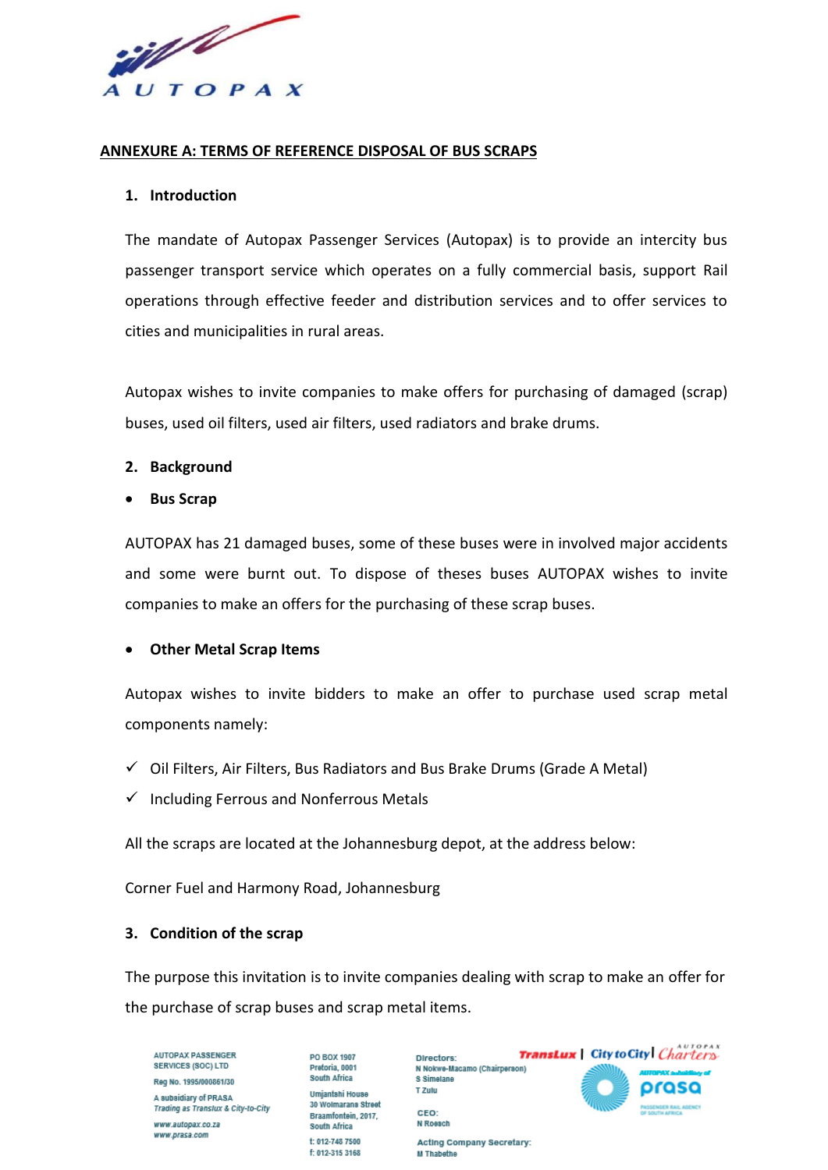if the contract of the contract of the contract of the contract of the contract of the contract of the contract of the contract of the contract of the contract of the contract of the contract of the contract of the contrac AUTOPAX

### **ANNEXURE A: TERMS OF REFERENCE DISPOSAL OF BUS SCRAPS**

#### **1. Introduction**

The mandate of Autopax Passenger Services (Autopax) is to provide an intercity bus passenger transport service which operates on a fully commercial basis, support Rail operations through effective feeder and distribution services and to offer services to cities and municipalities in rural areas.

Autopax wishes to invite companies to make offers for purchasing of damaged (scrap) buses, used oil filters, used air filters, used radiators and brake drums.

### **2. Background**

• **Bus Scrap** 

AUTOPAX has 21 damaged buses, some of these buses were in involved major accidents and some were burnt out. To dispose of theses buses AUTOPAX wishes to invite companies to make an offers for the purchasing of these scrap buses.

# • **Other Metal Scrap Items**

Autopax wishes to invite bidders to make an offer to purchase used scrap metal components namely:

- $\checkmark$  Oil Filters, Air Filters, Bus Radiators and Bus Brake Drums (Grade A Metal)
- $\checkmark$  Including Ferrous and Nonferrous Metals

All the scraps are located at the Johannesburg depot, at the address below:

Corner Fuel and Harmony Road, Johannesburg

# **3. Condition of the scrap**

The purpose this invitation is to invite companies dealing with scrap to make an offer for the purchase of scrap buses and scrap metal items.

M Thabethe

**AUTOPAX PASSENGER SERVICES (SOC) LTD** Red No. 1995/000861/30 A subsidiary of PRASA Trading as Translux & City-to-City www.autopax.co.za www.prasa.com

Preforia, 0001 South Africa Umianfahi House 30 Wolmarans Street Braamfontein, 2017, South Africa **f: 012-748-7500** £ 012-315 3168

PO BOX 1907